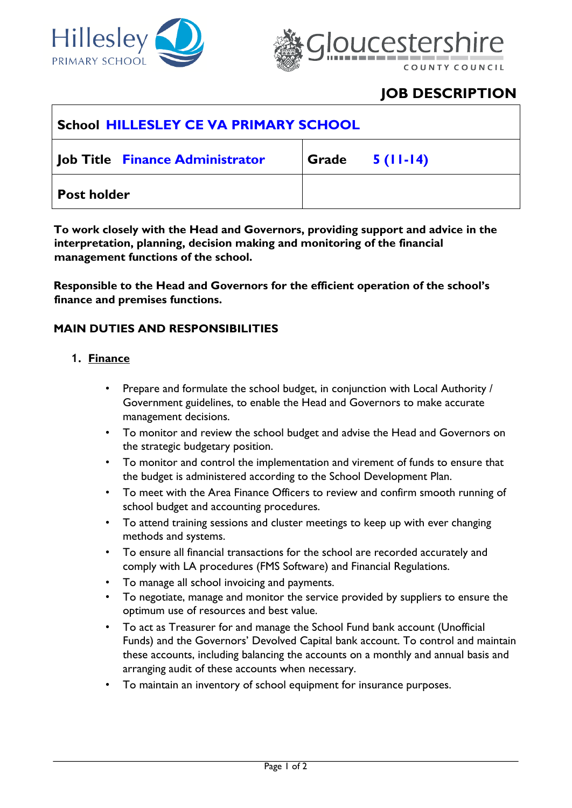



# **JOB DESCRIPTION**

| School HILLESLEY CE VA PRIMARY SCHOOL |                  |
|---------------------------------------|------------------|
| Job Title Finance Administrator       | Grade $5(11-14)$ |
| <b>Post holder</b>                    |                  |

**To work closely with the Head and Governors, providing support and advice in the interpretation, planning, decision making and monitoring of the financial management functions of the school.** 

**Responsible to the Head and Governors for the efficient operation of the school's finance and premises functions.** 

### **MAIN DUTIES AND RESPONSIBILITIES**

### **1. Finance**

- Prepare and formulate the school budget, in conjunction with Local Authority / Government guidelines, to enable the Head and Governors to make accurate management decisions.
- To monitor and review the school budget and advise the Head and Governors on the strategic budgetary position.
- To monitor and control the implementation and virement of funds to ensure that the budget is administered according to the School Development Plan.
- To meet with the Area Finance Officers to review and confirm smooth running of school budget and accounting procedures.
- To attend training sessions and cluster meetings to keep up with ever changing methods and systems.
- To ensure all financial transactions for the school are recorded accurately and comply with LA procedures (FMS Software) and Financial Regulations.
- To manage all school invoicing and payments.
- To negotiate, manage and monitor the service provided by suppliers to ensure the optimum use of resources and best value.
- To act as Treasurer for and manage the School Fund bank account (Unofficial Funds) and the Governors' Devolved Capital bank account. To control and maintain these accounts, including balancing the accounts on a monthly and annual basis and arranging audit of these accounts when necessary.
- To maintain an inventory of school equipment for insurance purposes.